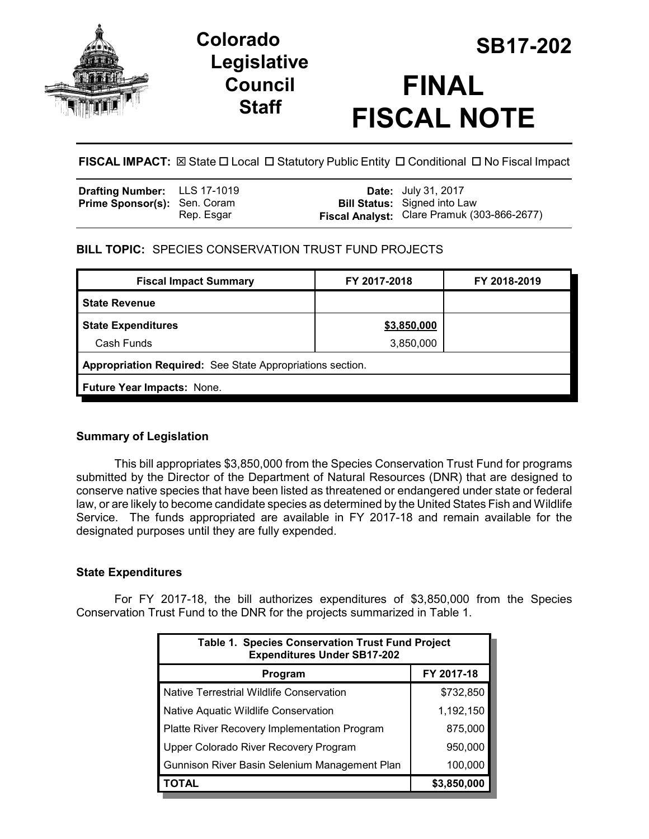

# **Legislative Council Staff**



**FISCAL IMPACT:**  $\boxtimes$  **State □ Local □ Statutory Public Entity □ Conditional □ No Fiscal Impact** 

| <b>Drafting Number:</b> LLS 17-1019 |            | <b>Date:</b> July 31, 2017                  |
|-------------------------------------|------------|---------------------------------------------|
| <b>Prime Sponsor(s): Sen. Coram</b> |            | <b>Bill Status:</b> Signed into Law         |
|                                     | Rep. Esgar | Fiscal Analyst: Clare Pramuk (303-866-2677) |

## **BILL TOPIC:** SPECIES CONSERVATION TRUST FUND PROJECTS

| \$3,850,000                                               |  |  |  |  |  |
|-----------------------------------------------------------|--|--|--|--|--|
| 3,850,000                                                 |  |  |  |  |  |
| Appropriation Required: See State Appropriations section. |  |  |  |  |  |
| Future Year Impacts: None.                                |  |  |  |  |  |
|                                                           |  |  |  |  |  |

## **Summary of Legislation**

This bill appropriates \$3,850,000 from the Species Conservation Trust Fund for programs submitted by the Director of the Department of Natural Resources (DNR) that are designed to conserve native species that have been listed as threatened or endangered under state or federal law, or are likely to become candidate species as determined by the United States Fish and Wildlife Service. The funds appropriated are available in FY 2017-18 and remain available for the designated purposes until they are fully expended.

## **State Expenditures**

For FY 2017-18, the bill authorizes expenditures of \$3,850,000 from the Species Conservation Trust Fund to the DNR for the projects summarized in Table 1.

| <b>Table 1. Species Conservation Trust Fund Project</b><br><b>Expenditures Under SB17-202</b> |             |  |  |
|-----------------------------------------------------------------------------------------------|-------------|--|--|
| Program                                                                                       | FY 2017-18  |  |  |
| Native Terrestrial Wildlife Conservation                                                      | \$732,850   |  |  |
| Native Aquatic Wildlife Conservation                                                          | 1,192,150   |  |  |
| Platte River Recovery Implementation Program                                                  | 875,000     |  |  |
| Upper Colorado River Recovery Program                                                         | 950,000     |  |  |
| Gunnison River Basin Selenium Management Plan                                                 | 100,000     |  |  |
| TOTAL                                                                                         | \$3,850,000 |  |  |